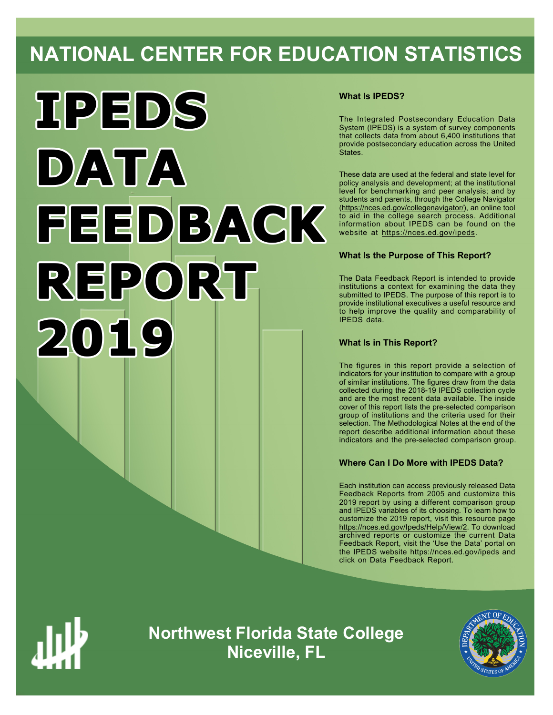# **NATIONAL CENTER FOR EDUCATION STATISTICS**



# **What Is IPEDS?**

The Integrated Postsecondary Education Data System (IPEDS) is a system of survey components that collects data from about 6,400 institutions that provide postsecondary education across the United States.

These data are used at the federal and state level for policy analysis and development; at the institutional level for benchmarking and peer analysis; and by students and parents, through the College Navigator ([https://nces.ed.gov/collegenavigator/\)](https://nces.ed.gov/collegenavigator/), an online tool to aid in the college search process. Additional information about IPEDS can be found on the website at<https://nces.ed.gov/ipeds>.

# **What Is the Purpose of This Report?**

The Data Feedback Report is intended to provide institutions a context for examining the data they submitted to IPEDS. The purpose of this report is to provide institutional executives a useful resource and to help improve the quality and comparability of IPEDS data.

# **What Is in This Report?**

The figures in this report provide a selection of indicators for your institution to compare with a group of similar institutions. The figures draw from the data collected during the 2018-19 IPEDS collection cycle and are the most recent data available. The inside cover of this report lists the pre-selected comparison group of institutions and the criteria used for their selection. The Methodological Notes at the end of the report describe additional information about these indicators and the pre-selected comparison group.

# **Where Can I Do More with IPEDS Data?**

Each institution can access previously released Data Feedback Reports from 2005 and customize this 2019 report by using a different comparison group and IPEDS variables of its choosing. To learn how to customize the 2019 report, visit this resource page <https://nces.ed.gov/Ipeds/Help/View/2>. To download archived reports or customize the current Data Feedback Report, visit the 'Use the Data' portal on the IPEDS website<https://nces.ed.gov/ipeds> and click on Data Feedback Report.



**Northwest Florida State College Niceville, FL**

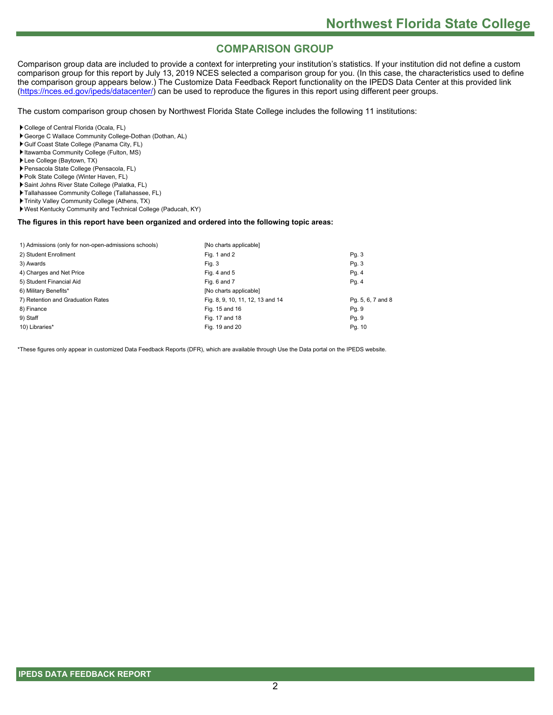# **COMPARISON GROUP**

Comparison group data are included to provide a context for interpreting your institution's statistics. If your institution did not define a custom comparison group for this report by July 13, 2019 NCES selected a comparison group for you. (In this case, the characteristics used to define the comparison group appears below.) The Customize Data Feedback Report functionality on the IPEDS Data Center at this provided link [\(https://nces.ed.gov/ipeds/datacenter/](https://nces.ed.gov/ipeds/datacenter/)) can be used to reproduce the figures in this report using different peer groups.

The custom comparison group chosen by Northwest Florida State College includes the following 11 institutions:

- College of Central Florida (Ocala, FL)
- George C Wallace Community College-Dothan (Dothan, AL)
- Gulf Coast State College (Panama City, FL)
- Itawamba Community College (Fulton, MS)
- Lee College (Baytown, TX)
- Pensacola State College (Pensacola, FL)
- Polk State College (Winter Haven, FL)
- Saint Johns River State College (Palatka, FL)
- Tallahassee Community College (Tallahassee, FL)
- Trinity Valley Community College (Athens, TX)
- West Kentucky Community and Technical College (Paducah, KY)

# **The figures in this report have been organized and ordered into the following topic areas:**

| [No charts applicable]           |                   |
|----------------------------------|-------------------|
| Fig. 1 and 2                     | Pg. 3             |
| Fig. 3                           | Pg. 3             |
| Fig. 4 and $5$                   | Pg. 4             |
| Fig. 6 and 7                     | Pg. 4             |
| [No charts applicable]           |                   |
| Fig. 8, 9, 10, 11, 12, 13 and 14 | Pg. 5, 6, 7 and 8 |
| Fig. 15 and 16                   | Pg. 9             |
| Fig. 17 and 18                   | Pg. 9             |
| Fig. 19 and 20                   | Pg. 10            |
|                                  |                   |

\*These figures only appear in customized Data Feedback Reports (DFR), which are available through Use the Data portal on the IPEDS website.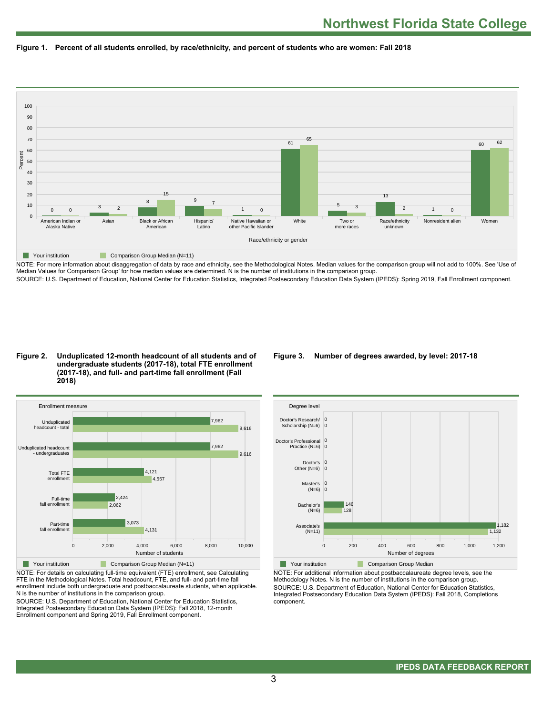



NOTE: For more information about disaggregation of data by race and ethnicity, see the Methodological Notes. Median values for the comparison group will not add to 100%. See 'Use of Median Values for Comparison Group' for how median values are determined. N is the number of institutions in the comparison group. SOURCE: U.S. Department of Education, National Center for Education Statistics, Integrated Postsecondary Education Data System (IPEDS): Spring 2019, Fall Enrollment component.

#### **Figure 2. Unduplicated 12-month headcount of all students and of undergraduate students (2017-18), total FTE enrollment (2017-18), and full- and part-time fall enrollment (Fall 2018)**



NOTE: For details on calculating full-time equivalent (FTE) enrollment, see Calculating FTE in the Methodological Notes. Total headcount, FTE, and full- and part-time fall enrollment include both undergraduate and postbaccalaureate students, when applicable. N is the number of institutions in the comparison group.

SOURCE: U.S. Department of Education, National Center for Education Statistics, Integrated Postsecondary Education Data System (IPEDS): Fall 2018, 12-month Enrollment component and Spring 2019, Fall Enrollment component.

# **Figure 3. Number of degrees awarded, by level: 2017-18**



NOTE: For additional information about postbaccalaureate degree levels, see the Methodology Notes. N is the number of institutions in the comparison group. SOURCE: U.S. Department of Education, National Center for Education Statistics, Integrated Postsecondary Education Data System (IPEDS): Fall 2018, Completions component.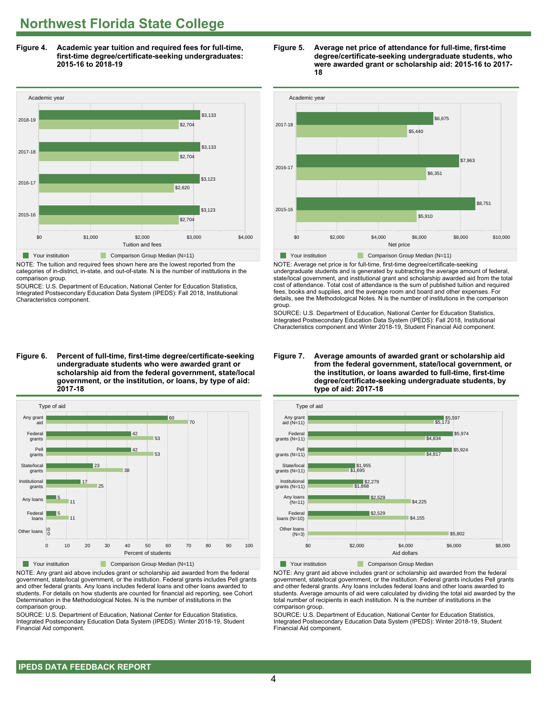**Figure 4. Academic year tuition and required fees for full-time, first-time degree/certificate-seeking undergraduates: 2015-16 to 2018-19**



NOTE: The tuition and required fees shown here are the lowest reported from the categories of in-district, in-state, and out-of-state. N is the number of institutions in the comparison group.

SOURCE: U.S. Department of Education, National Center for Education Statistics, Integrated Postsecondary Education Data System (IPEDS): Fall 2018, Institutional Characteristics component.

**Figure 6. Percent of full-time, first-time degree/certificate-seeking undergraduate students who were awarded grant or scholarship aid from the federal government, state/local government, or the institution, or loans, by type of aid: 2017-18**



NOTE: Any grant aid above includes grant or scholarship aid awarded from the federal government, state/local government, or the institution. Federal grants includes Pell grants and other federal grants. Any loans includes federal loans and other loans awarded to students. For details on how students are counted for financial aid reporting, see Cohort Determination in the Methodological Notes. N is the number of institutions in the comparison group.

SOURCE: U.S. Department of Education, National Center for Education Statistics, Integrated Postsecondary Education Data System (IPEDS): Winter 2018-19, Student Financial Aid component.





NOTE: Average net price is for full-time, first-time degree/certificate-seeking undergraduate students and is generated by subtracting the average amount of federal, state/local government, and institutional grant and scholarship awarded aid from the total cost of attendance. Total cost of attendance is the sum of published tuition and required fees, books and supplies, and the average room and board and other expenses. For details, see the Methodological Notes. N is the number of institutions in the comparison group.

SOURCE: U.S. Department of Education, National Center for Education Statistics, Integrated Postsecondary Education Data System (IPEDS): Fall 2018, Institutional Characteristics component and Winter 2018-19, Student Financial Aid component.





**The Your institution Comparison Group Median** 

NOTE: Any grant aid above includes grant or scholarship aid awarded from the federal government, state/local government, or the institution. Federal grants includes Pell grants and other federal grants. Any loans includes federal loans and other loans awarded to students. Average amounts of aid were calculated by dividing the total aid awarded by the total number of recipients in each institution. N is the number of institutions in the comparison group.

SOURCE: U.S. Department of Education, National Center for Education Statistics, Integrated Postsecondary Education Data System (IPEDS): Winter 2018-19, Student Financial Aid component.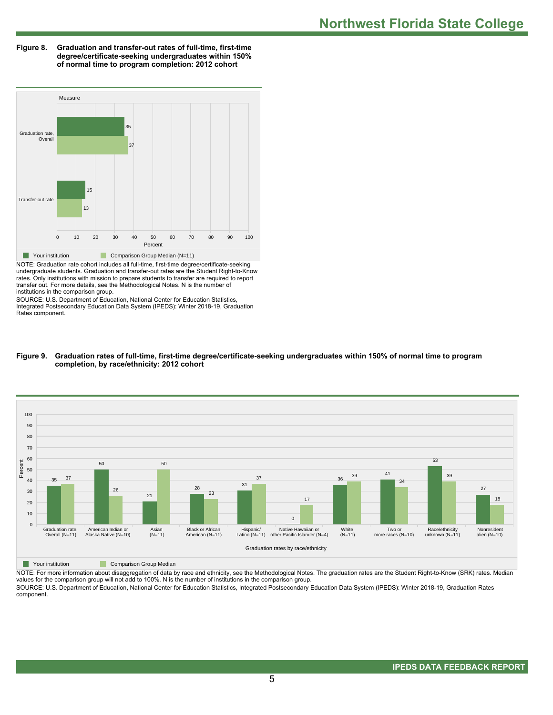**Figure 8. Graduation and transfer-out rates of full-time, first-time degree/certificate-seeking undergraduates within 150% of normal time to program completion: 2012 cohort**



NOTE: Graduation rate cohort includes all full-time, first-time degree/certificate-seeking undergraduate students. Graduation and transfer-out rates are the Student Right-to-Know rates. Only institutions with mission to prepare students to transfer are required to report transfer out. For more details, see the Methodological Notes. N is the number of institutions in the comparison group.

SOURCE: U.S. Department of Education, National Center for Education Statistics, Integrated Postsecondary Education Data System (IPEDS): Winter 2018-19, Graduation Rates component.





**The Comparison Group Median** 

NOTE: For more information about disaggregation of data by race and ethnicity, see the Methodological Notes. The graduation rates are the Student Right-to-Know (SRK) rates. Median values for the comparison group will not add to 100%. N is the number of institutions in the comparison group. SOURCE: U.S. Department of Education, National Center for Education Statistics, Integrated Postsecondary Education Data System (IPEDS): Winter 2018-19, Graduation Rates

component.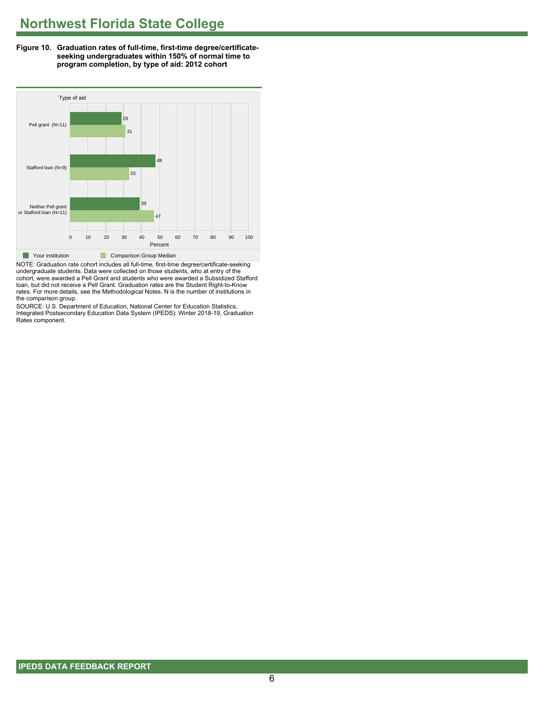**Figure 10. Graduation rates of full-time, first-time degree/certificateseeking undergraduates within 150% of normal time to program completion, by type of aid: 2012 cohort**



NOTE: Graduation rate cohort includes all full-time, first-time degree/certificate-seeking undergraduate students. Data were collected on those students, who at entry of the cohort, were awarded a Pell Grant and students who were awarded a Subsidized Stafford loan, but did not receive a Pell Grant. Graduation rates are the Student Right-to-Know rates. For more details, see the Methodological Notes. N is the number of institutions in the comparison group.

SOURCE: U.S. Department of Education, National Center for Education Statistics, Integrated Postsecondary Education Data System (IPEDS): Winter 2018-19, Graduation Rates component.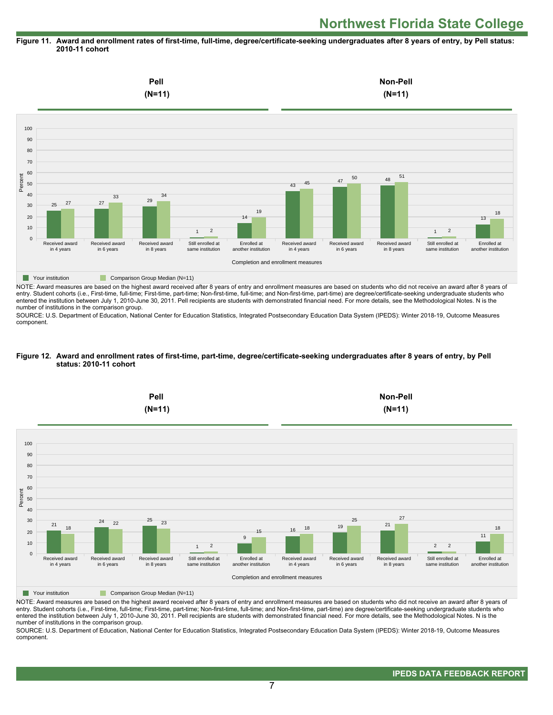#### **Figure 11. Award and enrollment rates of first-time, full-time, degree/certificate-seeking undergraduates after 8 years of entry, by Pell status: 2010-11 cohort**



NOTE: Award measures are based on the highest award received after 8 years of entry and enrollment measures are based on students who did not receive an award after 8 years of entry. Student cohorts (i.e., First-time, full-time; First-time, part-time; Non-first-time, full-time; and Non-first-time, part-time) are degree/certificate-seeking undergraduate students who entered the institution between July 1, 2010-June 30, 2011. Pell recipients are students with demonstrated financial need. For more details, see the Methodological Notes. N is the number of institutions in the comparison group.

SOURCE: U.S. Department of Education, National Center for Education Statistics, Integrated Postsecondary Education Data System (IPEDS): Winter 2018-19, Outcome Measures component.

#### **Figure 12. Award and enrollment rates of first-time, part-time, degree/certificate-seeking undergraduates after 8 years of entry, by Pell status: 2010-11 cohort**



NOTE: Award measures are based on the highest award received after 8 years of entry and enrollment measures are based on students who did not receive an award after 8 years of entry. Student cohorts (i.e., First-time, full-time; First-time, part-time; Non-first-time, full-time; and Non-first-time, part-time) are degree/certificate-seeking undergraduate students who entered the institution between July 1, 2010-June 30, 2011. Pell recipients are students with demonstrated financial need. For more details, see the Methodological Notes. N is the number of institutions in the comparison group.

SOURCE: U.S. Department of Education, National Center for Education Statistics, Integrated Postsecondary Education Data System (IPEDS): Winter 2018-19, Outcome Measures component.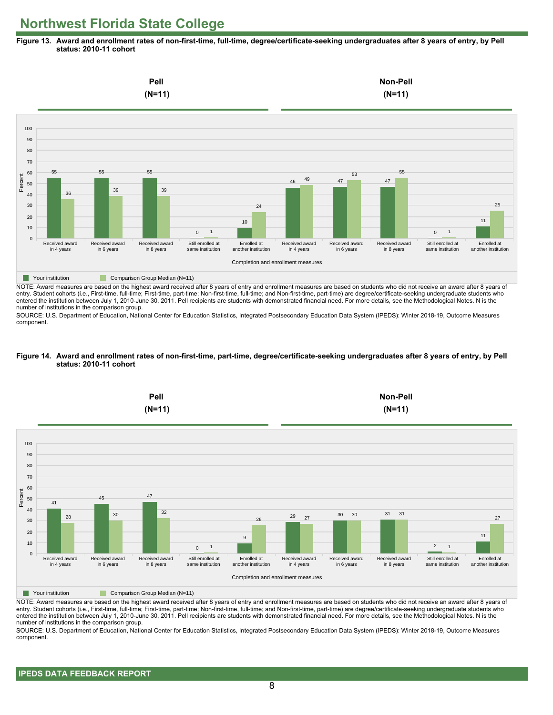**Figure 13. Award and enrollment rates of non-first-time, full-time, degree/certificate-seeking undergraduates after 8 years of entry, by Pell status: 2010-11 cohort**



NOTE: Award measures are based on the highest award received after 8 years of entry and enrollment measures are based on students who did not receive an award after 8 years of entry. Student cohorts (i.e., First-time, full-time; First-time, part-time; Non-first-time, full-time; and Non-first-time, part-time) are degree/certificate-seeking undergraduate students who entered the institution between July 1, 2010-June 30, 2011. Pell recipients are students with demonstrated financial need. For more details, see the Methodological Notes. N is the number of institutions in the comparison group.

SOURCE: U.S. Department of Education, National Center for Education Statistics, Integrated Postsecondary Education Data System (IPEDS): Winter 2018-19, Outcome Measures component.

#### **Figure 14. Award and enrollment rates of non-first-time, part-time, degree/certificate-seeking undergraduates after 8 years of entry, by Pell status: 2010-11 cohort**



NOTE: Award measures are based on the highest award received after 8 years of entry and enrollment measures are based on students who did not receive an award after 8 years of entry. Student cohorts (i.e., First-time, full-time; First-time, part-time; Non-first-time, full-time; and Non-first-time, part-time) are degree/certificate-seeking undergraduate students who entered the institution between July 1, 2010-June 30, 2011. Pell recipients are students with demonstrated financial need. For more details, see the Methodological Notes. N is the number of institutions in the comparison group.

SOURCE: U.S. Department of Education, National Center for Education Statistics, Integrated Postsecondary Education Data System (IPEDS): Winter 2018-19, Outcome Measures component.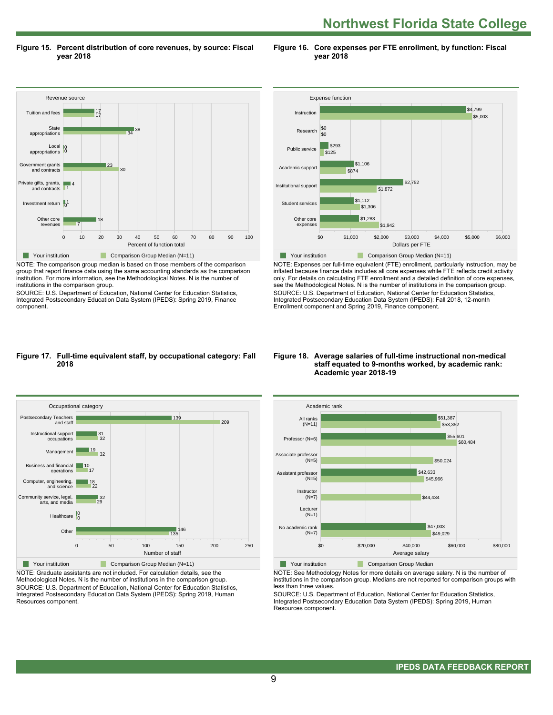**Northwest Florida State College** 

**Figure 15. Percent distribution of core revenues, by source: Fiscal year 2018**

**Figure 16. Core expenses per FTE enrollment, by function: Fiscal year 2018**



NOTE: The comparison group median is based on those members of the comparison group that report finance data using the same accounting standards as the comparison institution. For more information, see the Methodological Notes. N is the number of institutions in the comparison group.

SOURCE: U.S. Department of Education, National Center for Education Statistics, Integrated Postsecondary Education Data System (IPEDS): Spring 2019, Finance component.



NOTE: Expenses per full-time equivalent (FTE) enrollment, particularly instruction, may be inflated because finance data includes all core expenses while FTE reflects credit activity only. For details on calculating FTE enrollment and a detailed definition of core expenses, see the Methodological Notes. N is the number of institutions in the comparison group. SOURCE: U.S. Department of Education, National Center for Education Statistics, Integrated Postsecondary Education Data System (IPEDS): Fall 2018, 12-month Enrollment component and Spring 2019, Finance component.

#### **Figure 17. Full-time equivalent staff, by occupational category: Fall 2018**



NOTE: Graduate assistants are not included. For calculation details, see the Methodological Notes. N is the number of institutions in the comparison group. SOURCE: U.S. Department of Education, National Center for Education Statistics, Integrated Postsecondary Education Data System (IPEDS): Spring 2019, Human Resources component.

#### **Figure 18. Average salaries of full-time instructional non-medical staff equated to 9-months worked, by academic rank: Academic year 2018-19**



NOTE: See Methodology Notes for more details on average salary. N is the number of institutions in the comparison group. Medians are not reported for comparison groups with less than three values.

SOURCE: U.S. Department of Education, National Center for Education Statistics, Integrated Postsecondary Education Data System (IPEDS): Spring 2019, Human Resources component.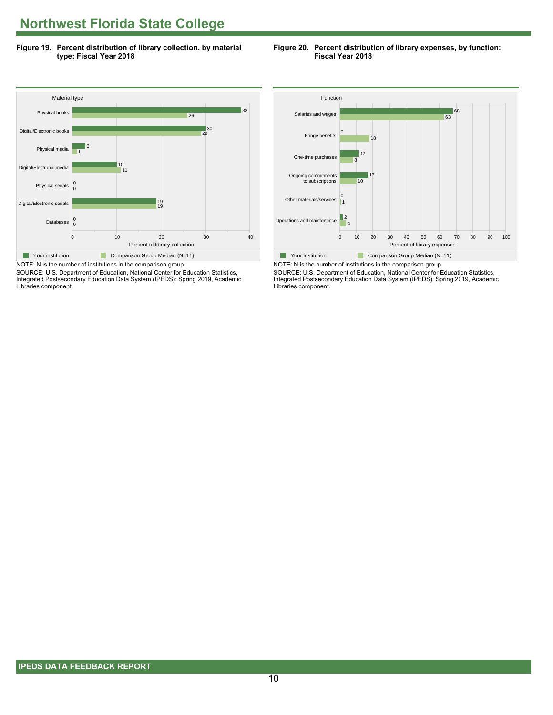**Figure 19. Percent distribution of library collection, by material type: Fiscal Year 2018**

#### **Figure 20. Percent distribution of library expenses, by function: Fiscal Year 2018**



SOURCE: U.S. Department of Education, National Center for Education Statistics, Integrated Postsecondary Education Data System (IPEDS): Spring 2019, Academic Libraries component.



NOTE: N is the number of institutions in the comparison group. SOURCE: U.S. Department of Education, National Center for Education Statistics, Integrated Postsecondary Education Data System (IPEDS): Spring 2019, Academic Libraries component.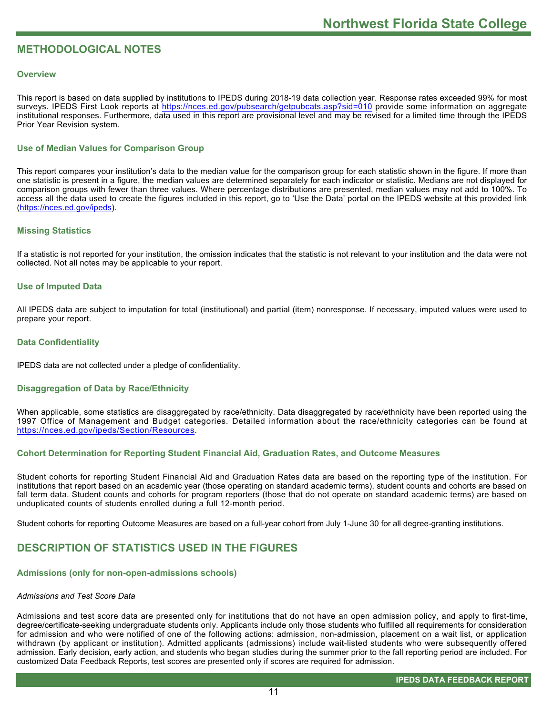# **METHODOLOGICAL NOTES**

#### **Overview**

This report is based on data supplied by institutions to IPEDS during 2018-19 data collection year. Response rates exceeded 99% for most surveys. IPEDS First Look reports at<https://nces.ed.gov/pubsearch/getpubcats.asp?sid=010> provide some information on aggregate institutional responses. Furthermore, data used in this report are provisional level and may be revised for a limited time through the IPEDS Prior Year Revision system.

# **Use of Median Values for Comparison Group**

This report compares your institution's data to the median value for the comparison group for each statistic shown in the figure. If more than one statistic is present in a figure, the median values are determined separately for each indicator or statistic. Medians are not displayed for comparison groups with fewer than three values. Where percentage distributions are presented, median values may not add to 100%. To access all the data used to create the figures included in this report, go to 'Use the Data' portal on the IPEDS website at this provided link ([https://nces.ed.gov/ipeds\)](https://nces.ed.gov/ipeds).

#### **Missing Statistics**

If a statistic is not reported for your institution, the omission indicates that the statistic is not relevant to your institution and the data were not collected. Not all notes may be applicable to your report.

#### **Use of Imputed Data**

All IPEDS data are subject to imputation for total (institutional) and partial (item) nonresponse. If necessary, imputed values were used to prepare your report.

#### **Data Confidentiality**

IPEDS data are not collected under a pledge of confidentiality.

#### **Disaggregation of Data by Race/Ethnicity**

When applicable, some statistics are disaggregated by race/ethnicity. Data disaggregated by race/ethnicity have been reported using the 1997 Office of Management and Budget categories. Detailed information about the race/ethnicity categories can be found at <https://nces.ed.gov/ipeds/Section/Resources>.

# **Cohort Determination for Reporting Student Financial Aid, Graduation Rates, and Outcome Measures**

Student cohorts for reporting Student Financial Aid and Graduation Rates data are based on the reporting type of the institution. For institutions that report based on an academic year (those operating on standard academic terms), student counts and cohorts are based on fall term data. Student counts and cohorts for program reporters (those that do not operate on standard academic terms) are based on unduplicated counts of students enrolled during a full 12-month period.

Student cohorts for reporting Outcome Measures are based on a full-year cohort from July 1-June 30 for all degree-granting institutions.

# **DESCRIPTION OF STATISTICS USED IN THE FIGURES**

#### **Admissions (only for non-open-admissions schools)**

#### *Admissions and Test Score Data*

Admissions and test score data are presented only for institutions that do not have an open admission policy, and apply to first-time, degree/certificate-seeking undergraduate students only. Applicants include only those students who fulfilled all requirements for consideration for admission and who were notified of one of the following actions: admission, non-admission, placement on a wait list, or application withdrawn (by applicant or institution). Admitted applicants (admissions) include wait-listed students who were subsequently offered admission. Early decision, early action, and students who began studies during the summer prior to the fall reporting period are included. For customized Data Feedback Reports, test scores are presented only if scores are required for admission.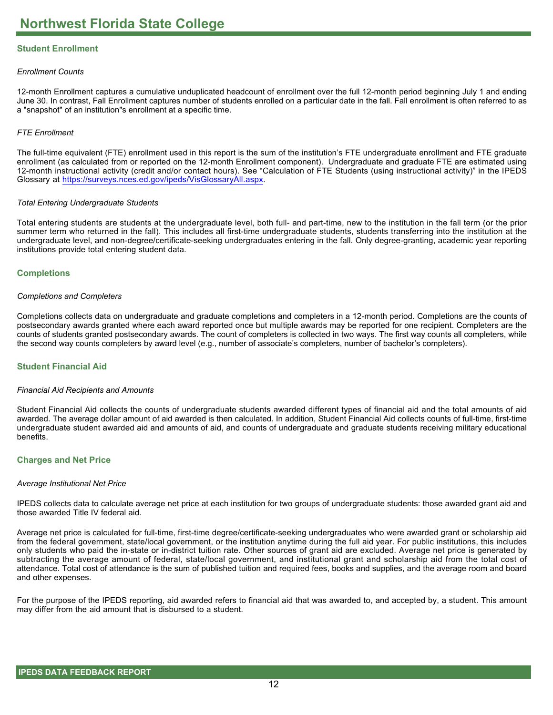# **Student Enrollment**

#### *Enrollment Counts*

12-month Enrollment captures a cumulative unduplicated headcount of enrollment over the full 12-month period beginning July 1 and ending June 30. In contrast, Fall Enrollment captures number of students enrolled on a particular date in the fall. Fall enrollment is often referred to as a "snapshot" of an institution"s enrollment at a specific time.

#### *FTE Enrollment*

The full-time equivalent (FTE) enrollment used in this report is the sum of the institution's FTE undergraduate enrollment and FTE graduate enrollment (as calculated from or reported on the 12-month Enrollment component). Undergraduate and graduate FTE are estimated using 12-month instructional activity (credit and/or contact hours). See "Calculation of FTE Students (using instructional activity)" in the IPEDS Glossary at <https://surveys.nces.ed.gov/ipeds/VisGlossaryAll.aspx>.

#### *Total Entering Undergraduate Students*

Total entering students are students at the undergraduate level, both full- and part-time, new to the institution in the fall term (or the prior summer term who returned in the fall). This includes all first-time undergraduate students, students transferring into the institution at the undergraduate level, and non-degree/certificate-seeking undergraduates entering in the fall. Only degree-granting, academic year reporting institutions provide total entering student data.

#### **Completions**

#### *Completions and Completers*

Completions collects data on undergraduate and graduate completions and completers in a 12-month period. Completions are the counts of postsecondary awards granted where each award reported once but multiple awards may be reported for one recipient. Completers are the counts of students granted postsecondary awards. The count of completers is collected in two ways. The first way counts all completers, while the second way counts completers by award level (e.g., number of associate's completers, number of bachelor's completers).

# **Student Financial Aid**

#### *Financial Aid Recipients and Amounts*

Student Financial Aid collects the counts of undergraduate students awarded different types of financial aid and the total amounts of aid awarded. The average dollar amount of aid awarded is then calculated. In addition, Student Financial Aid collects counts of full-time, first-time undergraduate student awarded aid and amounts of aid, and counts of undergraduate and graduate students receiving military educational benefits.

#### **Charges and Net Price**

#### *Average Institutional Net Price*

IPEDS collects data to calculate average net price at each institution for two groups of undergraduate students: those awarded grant aid and those awarded Title IV federal aid.

Average net price is calculated for full-time, first-time degree/certificate-seeking undergraduates who were awarded grant or scholarship aid from the federal government, state/local government, or the institution anytime during the full aid year. For public institutions, this includes only students who paid the in-state or in-district tuition rate. Other sources of grant aid are excluded. Average net price is generated by subtracting the average amount of federal, state/local government, and institutional grant and scholarship aid from the total cost of attendance. Total cost of attendance is the sum of published tuition and required fees, books and supplies, and the average room and board and other expenses.

For the purpose of the IPEDS reporting, aid awarded refers to financial aid that was awarded to, and accepted by, a student. This amount may differ from the aid amount that is disbursed to a student.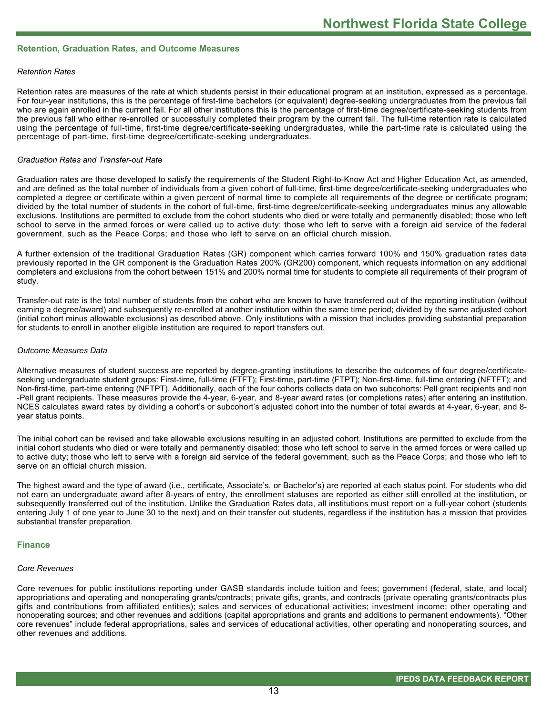#### **Retention, Graduation Rates, and Outcome Measures**

#### *Retention Rates*

Retention rates are measures of the rate at which students persist in their educational program at an institution, expressed as a percentage. For four-year institutions, this is the percentage of first-time bachelors (or equivalent) degree-seeking undergraduates from the previous fall who are again enrolled in the current fall. For all other institutions this is the percentage of first-time degree/certificate-seeking students from the previous fall who either re-enrolled or successfully completed their program by the current fall. The full-time retention rate is calculated using the percentage of full-time, first-time degree/certificate-seeking undergraduates, while the part-time rate is calculated using the percentage of part-time, first-time degree/certificate-seeking undergraduates.

#### *Graduation Rates and Transfer-out Rate*

Graduation rates are those developed to satisfy the requirements of the Student Right-to-Know Act and Higher Education Act, as amended, and are defined as the total number of individuals from a given cohort of full-time, first-time degree/certificate-seeking undergraduates who completed a degree or certificate within a given percent of normal time to complete all requirements of the degree or certificate program; divided by the total number of students in the cohort of full-time, first-time degree/certificate-seeking undergraduates minus any allowable exclusions. Institutions are permitted to exclude from the cohort students who died or were totally and permanently disabled; those who left school to serve in the armed forces or were called up to active duty; those who left to serve with a foreign aid service of the federal government, such as the Peace Corps; and those who left to serve on an official church mission.

A further extension of the traditional Graduation Rates (GR) component which carries forward 100% and 150% graduation rates data previously reported in the GR component is the Graduation Rates 200% (GR200) component, which requests information on any additional completers and exclusions from the cohort between 151% and 200% normal time for students to complete all requirements of their program of study.

Transfer-out rate is the total number of students from the cohort who are known to have transferred out of the reporting institution (without earning a degree/award) and subsequently re-enrolled at another institution within the same time period; divided by the same adjusted cohort (initial cohort minus allowable exclusions) as described above. Only institutions with a mission that includes providing substantial preparation for students to enroll in another eligible institution are required to report transfers out.

#### *Outcome Measures Data*

Alternative measures of student success are reported by degree-granting institutions to describe the outcomes of four degree/certificateseeking undergraduate student groups: First-time, full-time (FTFT); First-time, part-time (FTPT); Non-first-time, full-time entering (NFTFT); and Non-first-time, part-time entering (NFTPT). Additionally, each of the four cohorts collects data on two subcohorts: Pell grant recipients and non -Pell grant recipients. These measures provide the 4-year, 6-year, and 8-year award rates (or completions rates) after entering an institution. NCES calculates award rates by dividing a cohort's or subcohort's adjusted cohort into the number of total awards at 4-year, 6-year, and 8year status points.

The initial cohort can be revised and take allowable exclusions resulting in an adjusted cohort. Institutions are permitted to exclude from the initial cohort students who died or were totally and permanently disabled; those who left school to serve in the armed forces or were called up to active duty; those who left to serve with a foreign aid service of the federal government, such as the Peace Corps; and those who left to serve on an official church mission.

The highest award and the type of award (i.e., certificate, Associate's, or Bachelor's) are reported at each status point. For students who did not earn an undergraduate award after 8-years of entry, the enrollment statuses are reported as either still enrolled at the institution, or subsequently transferred out of the institution. Unlike the Graduation Rates data, all institutions must report on a full-year cohort (students entering July 1 of one year to June 30 to the next) and on their transfer out students, regardless if the institution has a mission that provides substantial transfer preparation.

#### **Finance**

#### *Core Revenues*

Core revenues for public institutions reporting under GASB standards include tuition and fees; government (federal, state, and local) appropriations and operating and nonoperating grants/contracts; private gifts, grants, and contracts (private operating grants/contracts plus gifts and contributions from affiliated entities); sales and services of educational activities; investment income; other operating and nonoperating sources; and other revenues and additions (capital appropriations and grants and additions to permanent endowments). "Other core revenues" include federal appropriations, sales and services of educational activities, other operating and nonoperating sources, and other revenues and additions.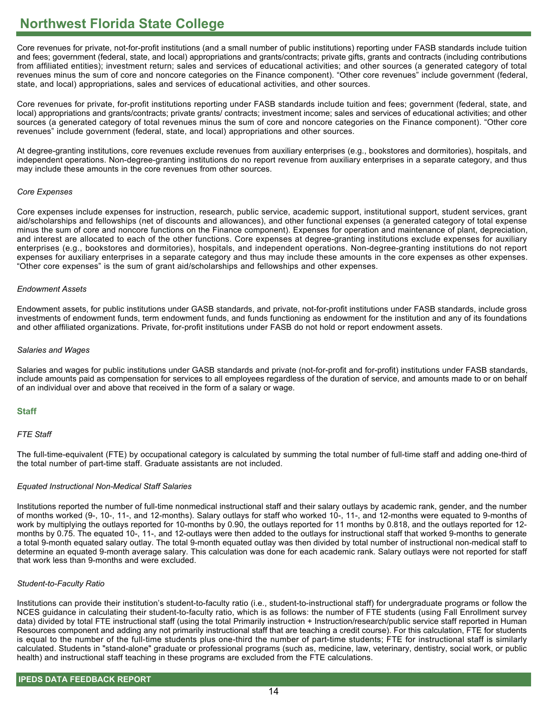Core revenues for private, not-for-profit institutions (and a small number of public institutions) reporting under FASB standards include tuition and fees; government (federal, state, and local) appropriations and grants/contracts; private gifts, grants and contracts (including contributions from affiliated entities); investment return; sales and services of educational activities; and other sources (a generated category of total revenues minus the sum of core and noncore categories on the Finance component). "Other core revenues" include government (federal, state, and local) appropriations, sales and services of educational activities, and other sources.

Core revenues for private, for-profit institutions reporting under FASB standards include tuition and fees; government (federal, state, and local) appropriations and grants/contracts; private grants/ contracts; investment income; sales and services of educational activities; and other sources (a generated category of total revenues minus the sum of core and noncore categories on the Finance component). "Other core revenues" include government (federal, state, and local) appropriations and other sources.

At degree-granting institutions, core revenues exclude revenues from auxiliary enterprises (e.g., bookstores and dormitories), hospitals, and independent operations. Non-degree-granting institutions do no report revenue from auxiliary enterprises in a separate category, and thus may include these amounts in the core revenues from other sources.

#### *Core Expenses*

Core expenses include expenses for instruction, research, public service, academic support, institutional support, student services, grant aid/scholarships and fellowships (net of discounts and allowances), and other functional expenses (a generated category of total expense minus the sum of core and noncore functions on the Finance component). Expenses for operation and maintenance of plant, depreciation, and interest are allocated to each of the other functions. Core expenses at degree-granting institutions exclude expenses for auxiliary enterprises (e.g., bookstores and dormitories), hospitals, and independent operations. Non-degree-granting institutions do not report expenses for auxiliary enterprises in a separate category and thus may include these amounts in the core expenses as other expenses. "Other core expenses" is the sum of grant aid/scholarships and fellowships and other expenses.

#### *Endowment Assets*

Endowment assets, for public institutions under GASB standards, and private, not-for-profit institutions under FASB standards, include gross investments of endowment funds, term endowment funds, and funds functioning as endowment for the institution and any of its foundations and other affiliated organizations. Private, for-profit institutions under FASB do not hold or report endowment assets.

#### *Salaries and Wages*

Salaries and wages for public institutions under GASB standards and private (not-for-profit and for-profit) institutions under FASB standards, include amounts paid as compensation for services to all employees regardless of the duration of service, and amounts made to or on behalf of an individual over and above that received in the form of a salary or wage.

# **Staff**

# *FTE Staff*

The full-time-equivalent (FTE) by occupational category is calculated by summing the total number of full-time staff and adding one-third of the total number of part-time staff. Graduate assistants are not included.

# *Equated Instructional Non-Medical Staff Salaries*

Institutions reported the number of full-time nonmedical instructional staff and their salary outlays by academic rank, gender, and the number of months worked (9-, 10-, 11-, and 12-months). Salary outlays for staff who worked 10-, 11-, and 12-months were equated to 9-months of work by multiplying the outlays reported for 10-months by 0.90, the outlays reported for 11 months by 0.818, and the outlays reported for 12 months by 0.75. The equated 10-, 11-, and 12-outlays were then added to the outlays for instructional staff that worked 9-months to generate a total 9-month equated salary outlay. The total 9-month equated outlay was then divided by total number of instructional non-medical staff to determine an equated 9-month average salary. This calculation was done for each academic rank. Salary outlays were not reported for staff that work less than 9-months and were excluded.

# *Student-to-Faculty Ratio*

Institutions can provide their institution's student-to-faculty ratio (i.e., student-to-instructional staff) for undergraduate programs or follow the NCES guidance in calculating their student-to-faculty ratio, which is as follows: the number of FTE students (using Fall Enrollment survey data) divided by total FTE instructional staff (using the total Primarily instruction + Instruction/research/public service staff reported in Human Resources component and adding any not primarily instructional staff that are teaching a credit course). For this calculation, FTE for students is equal to the number of the full-time students plus one-third the number of part-time students; FTE for instructional staff is similarly calculated. Students in "stand-alone" graduate or professional programs (such as, medicine, law, veterinary, dentistry, social work, or public health) and instructional staff teaching in these programs are excluded from the FTE calculations.